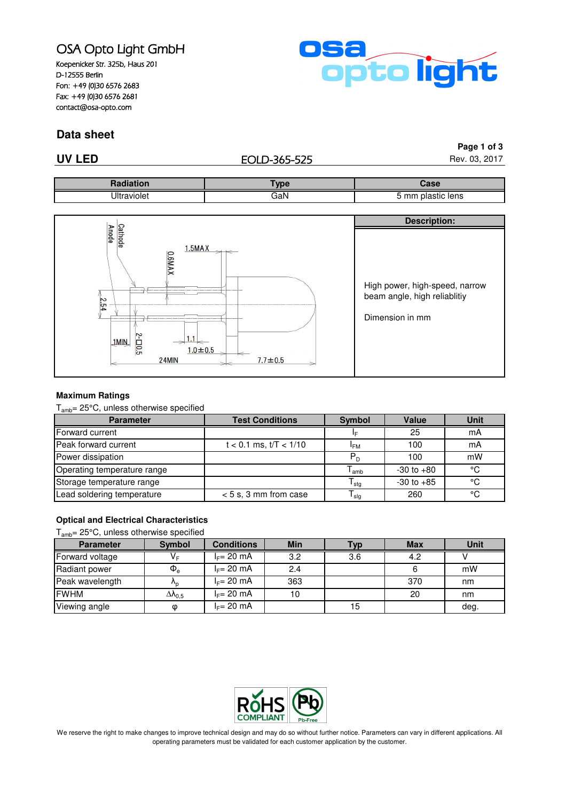# OSA Opto Light GmbH

Koepenicker Str. 325b, Haus 201 D-12555 Berlin Fon: +49 (0)30 6576 2683 Fax: +49 (0)30 6576 2681 contact@osa-opto.com



### **Data sheet**

### **UV LED** Rev. 03, 2017

**Page 1 of 3**

|          | <b>The state of</b> | `oer<br>Jase                                                               |
|----------|---------------------|----------------------------------------------------------------------------|
| Ш<br>mer | È<br>ααιν           | $\overline{\phantom{0}}$<br>lens<br>$\overline{\phantom{a}}$<br>nı:<br>TIC |



### **Maximum Ratings**

Tamb= 25°C, unless otherwise specified

| <b>Parameter</b>            | <b>Test Conditions</b>     | <b>Symbol</b>              | Value          | Unit |
|-----------------------------|----------------------------|----------------------------|----------------|------|
| Forward current             |                            | I⊑                         | 25             | mA   |
| Peak forward current        | $t < 0.1$ ms, $t/T < 1/10$ | <sup>I</sup> FM            | 100            | mA   |
| Power dissipation           |                            | $P_D$                      | 100            | mW   |
| Operating temperature range |                            | <sup>l</sup> amb           | $-30$ to $+80$ | °C   |
| Storage temperature range   |                            | ${\mathsf T}_{\text{stg}}$ | $-30$ to $+85$ | °C   |
| Lead soldering temperature  | $< 5$ s, 3 mm from case    | l <sub>slq</sub>           | 260            | °C   |

### **Optical and Electrical Characteristics**

### Tamb= 25°C, unless otherwise specified

| <b>Parameter</b> | <b>Symbol</b>         | <b>Conditions</b> | <b>Min</b> | <b>Typ</b> | <b>Max</b> | Unit |
|------------------|-----------------------|-------------------|------------|------------|------------|------|
| Forward voltage  | V⊧                    | $I_F = 20$ mA     | 3.2        | 3.6        | 4.2        |      |
| Radiant power    | $\Phi_{\rm e}$        | $I_F = 20$ mA     | 2.4        |            |            | mW   |
| Peak wavelength  | $n_{p}$               | $I_F = 20$ mA     | 363        |            | 370        | nm   |
| <b>FWHM</b>      | $\Delta\lambda_{0.5}$ | $I_F = 20$ mA     | 10         |            | 20         | nm   |
| Viewing angle    | Φ                     | $I_F = 20$ mA     |            | 15         |            | deg. |



We reserve the right to make changes to improve technical design and may do so without further notice. Parameters can vary in different applications. All operating parameters must be validated for each customer application by the customer.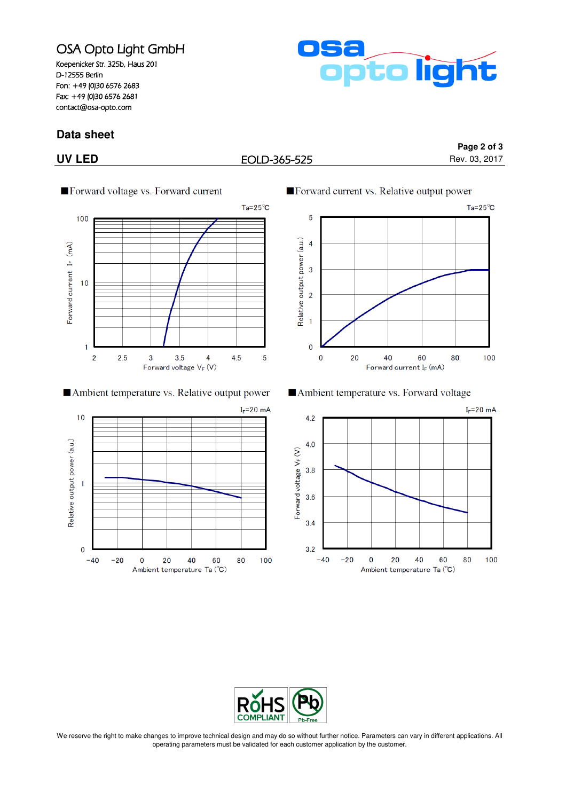## OSA Opto Light GmbH

Koepenicker Str. 325b, Haus 201 D-12555 Berlin Fon: +49 (0)30 6576 2683 Fax: +49 (0)30 6576 2681 contact@osa-opto.com

# pto light

### **Data sheet**

### **UV LED** Rev. 03, 2017

**Page 2 of 3**



### Ambient temperature vs. Relative output power





Ambient temperature vs. Forward voltage





We reserve the right to make changes to improve technical design and may do so without further notice. Parameters can vary in different applications. All operating parameters must be validated for each customer application by the customer.